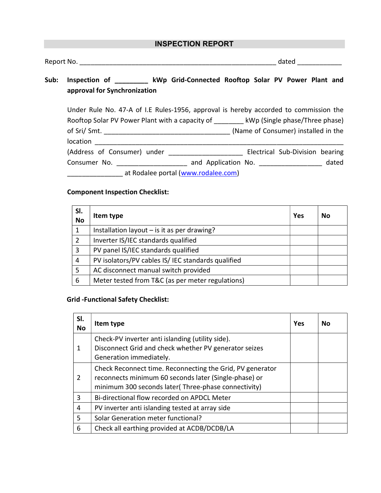# INSPECTION REPORT

| Report No. | ualeu |
|------------|-------|
|------------|-------|

# Sub: Inspection of \_\_\_\_\_\_\_\_\_ kWp Grid-Connected Rooftop Solar PV Power Plant and approval for Synchronization

| Under Rule No. 47-A of I.E Rules-1956, approval is hereby accorded to commission the |  |                     |  |                                     |       |
|--------------------------------------------------------------------------------------|--|---------------------|--|-------------------------------------|-------|
| Rooftop Solar PV Power Plant with a capacity of<br>kWp (Single phase/Three phase)    |  |                     |  |                                     |       |
| of Sri/ Smt. $\_\_$                                                                  |  |                     |  | (Name of Consumer) installed in the |       |
| location                                                                             |  |                     |  |                                     |       |
| (Address of Consumer) under                                                          |  |                     |  | Electrical Sub-Division bearing     |       |
| Consumer No.                                                                         |  | and Application No. |  |                                     | dated |
| at Rodalee portal (www.rodalee.com)                                                  |  |                     |  |                                     |       |

### Component Inspection Checklist:

| SI.<br><b>No</b> | Item type                                          | Yes | No |
|------------------|----------------------------------------------------|-----|----|
| 1                | Installation layout $-$ is it as per drawing?      |     |    |
| 2                | Inverter IS/IEC standards qualified                |     |    |
| 3                | PV panel IS/IEC standards qualified                |     |    |
| 4                | PV isolators/PV cables IS/ IEC standards qualified |     |    |
| 5                | AC disconnect manual switch provided               |     |    |
| 6                | Meter tested from T&C (as per meter regulations)   |     |    |

### Grid -Functional Safety Checklist:

| SI.<br><b>No</b> | Item type                                                                                                                                                                 | Yes | No |
|------------------|---------------------------------------------------------------------------------------------------------------------------------------------------------------------------|-----|----|
| 1                | Check-PV inverter anti islanding (utility side).<br>Disconnect Grid and check whether PV generator seizes<br>Generation immediately.                                      |     |    |
| 2                | Check Reconnect time. Reconnecting the Grid, PV generator<br>reconnects minimum 60 seconds later (Single-phase) or<br>minimum 300 seconds later(Three-phase connectivity) |     |    |
| 3                | Bi-directional flow recorded on APDCL Meter                                                                                                                               |     |    |
| 4                | PV inverter anti islanding tested at array side                                                                                                                           |     |    |
| 5                | Solar Generation meter functional?                                                                                                                                        |     |    |
| 6                | Check all earthing provided at ACDB/DCDB/LA                                                                                                                               |     |    |